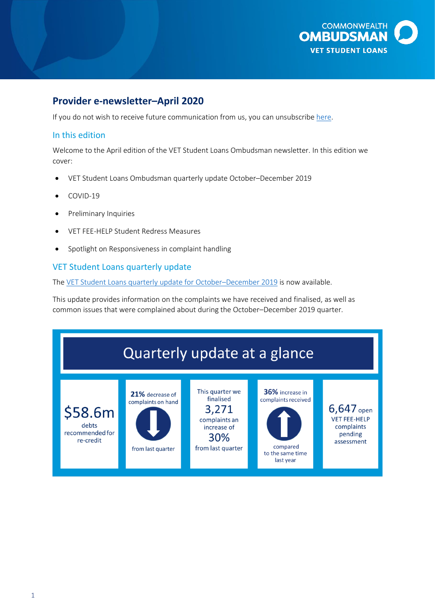

# **Provider e-newsletter–April 2020**

If you do not wish to receive future communication from us, you can unsubscribe [here.](https://ombudsman.us5.list-manage.com/unsubscribe?u=74266ffd1d0f1c6c427e4f1d4&id=b9075833e1&e=eeadf55fbc&c=ee5701b5b8)

# In this edition

Welcome to the April edition of the VET Student Loans Ombudsman newsletter. In this edition we cover:

- VET Student Loans Ombudsman quarterly update October–December 2019
- COVID-19
- Preliminary Inquiries
- VET FEE-HELP Student Redress Measures
- Spotlight on Responsiveness in complaint handling

# VET Student Loans quarterly update

The [VET Student Loans quarterly update for October](https://www.ombudsman.gov.au/publications/industry/vet-student-loans)-December 2019 is now available.

This update provides information on the complaints we have received and finalised, as well as common issues that were complained about during the October–December 2019 quarter.

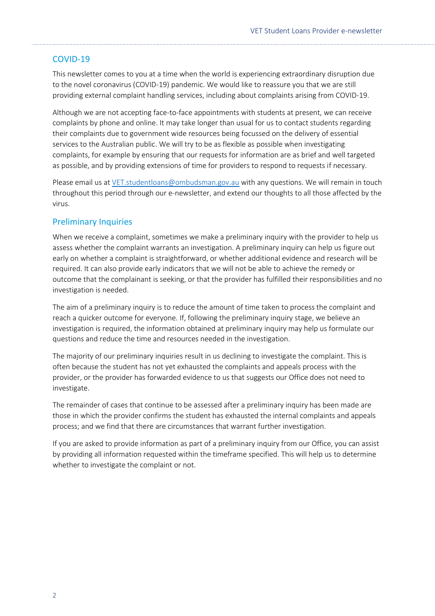# COVID-19

This newsletter comes to you at a time when the world is experiencing extraordinary disruption due to the novel coronavirus (COVID-19) pandemic. We would like to reassure you that we are still providing external complaint handling services, including about complaints arising from COVID-19.

Although we are not accepting face-to-face appointments with students at present, we can receive complaints by phone and online. It may take longer than usual for us to contact students regarding their complaints due to government wide resources being focussed on the delivery of essential services to the Australian public. We will try to be as flexible as possible when investigating complaints, for example by ensuring that our requests for information are as brief and well targeted as possible, and by providing extensions of time for providers to respond to requests if necessary.

Please email us at [VET.studentloans@ombudsman.gov.au](mailto:VET.studentloans@ombudsman.gov.au) with any questions. We will remain in touch throughout this period through our e-newsletter, and extend our thoughts to all those affected by the virus.

### Preliminary Inquiries

When we receive a complaint, sometimes we make a preliminary inquiry with the provider to help us assess whether the complaint warrants an investigation. A preliminary inquiry can help us figure out early on whether a complaint is straightforward, or whether additional evidence and research will be required. It can also provide early indicators that we will not be able to achieve the remedy or outcome that the complainant is seeking, or that the provider has fulfilled their responsibilities and no investigation is needed.

The aim of a preliminary inquiry is to reduce the amount of time taken to process the complaint and reach a quicker outcome for everyone. If, following the preliminary inquiry stage, we believe an investigation is required, the information obtained at preliminary inquiry may help us formulate our questions and reduce the time and resources needed in the investigation.

The majority of our preliminary inquiries result in us declining to investigate the complaint. This is often because the student has not yet exhausted the complaints and appeals process with the provider, or the provider has forwarded evidence to us that suggests our Office does not need to investigate.

The remainder of cases that continue to be assessed after a preliminary inquiry has been made are those in which the provider confirms the student has exhausted the internal complaints and appeals process; and we find that there are circumstances that warrant further investigation.

If you are asked to provide information as part of a preliminary inquiry from our Office, you can assist by providing all information requested within the timeframe specified. This will help us to determine whether to investigate the complaint or not.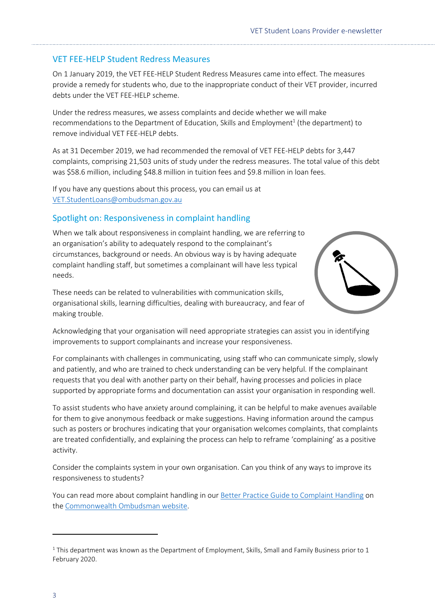# VET FEE-HELP Student Redress Measures

On 1 January 2019, the VET FEE-HELP Student Redress Measures came into effect. The measures provide a remedy for students who, due to the inappropriate conduct of their VET provider, incurred debts under the VET FEE-HELP scheme.

Under the redress measures, we assess complaints and decide whether we will make recommendations to the Department of Education, Skills and Employment<sup>1</sup> (the department) to remove individual VET FEE-HELP debts.

As at 31 December 2019, we had recommended the removal of VET FEE-HELP debts for 3,447 complaints, comprising 21,503 units of study under the redress measures. The total value of this debt was \$58.6 million, including \$48.8 million in tuition fees and \$9.8 million in loan fees.

If you have any questions about this process, you can email us at [VET.StudentLoans@ombudsman.gov.au](mailto:VET.StudentLoans@ombudsman.gov.au)

# Spotlight on: Responsiveness in complaint handling

When we talk about responsiveness in complaint handling, we are referring to an organisation's ability to adequately respond to the complainant's circumstances, background or needs. An obvious way is by having adequate complaint handling staff, but sometimes a complainant will have less typical needs.

These needs can be related to vulnerabilities with communication skills, organisational skills, learning difficulties, dealing with bureaucracy, and fear of making trouble.



Acknowledging that your organisation will need appropriate strategies can assist you in identifying improvements to support complainants and increase your responsiveness.

For complainants with challenges in communicating, using staff who can communicate simply, slowly and patiently, and who are trained to check understanding can be very helpful. If the complainant requests that you deal with another party on their behalf, having processes and policies in place supported by appropriate forms and documentation can assist your organisation in responding well.

To assist students who have anxiety around complaining, it can be helpful to make avenues available for them to give anonymous feedback or make suggestions. Having information around the campus such as posters or brochures indicating that your organisation welcomes complaints, that complaints are treated confidentially, and explaining the process can help to reframe 'complaining' as a positive activity.

Consider the complaints system in your own organisation. Can you think of any ways to improve its responsiveness to students?

You can read more about complaint handling in our [Better Practice Guide to Complaint](https://www.ombudsman.gov.au/__data/assets/pdf_file/0020/35615/Better-practice-guide-to-complaint-handling.pdf) Handling on the [Commonwealth Ombudsman website.](https://www.ombudsman.gov.au/How-we-can-help/overseas-students)

**.** 

 $1$  This department was known as the Department of Employment, Skills, Small and Family Business prior to 1 February 2020.